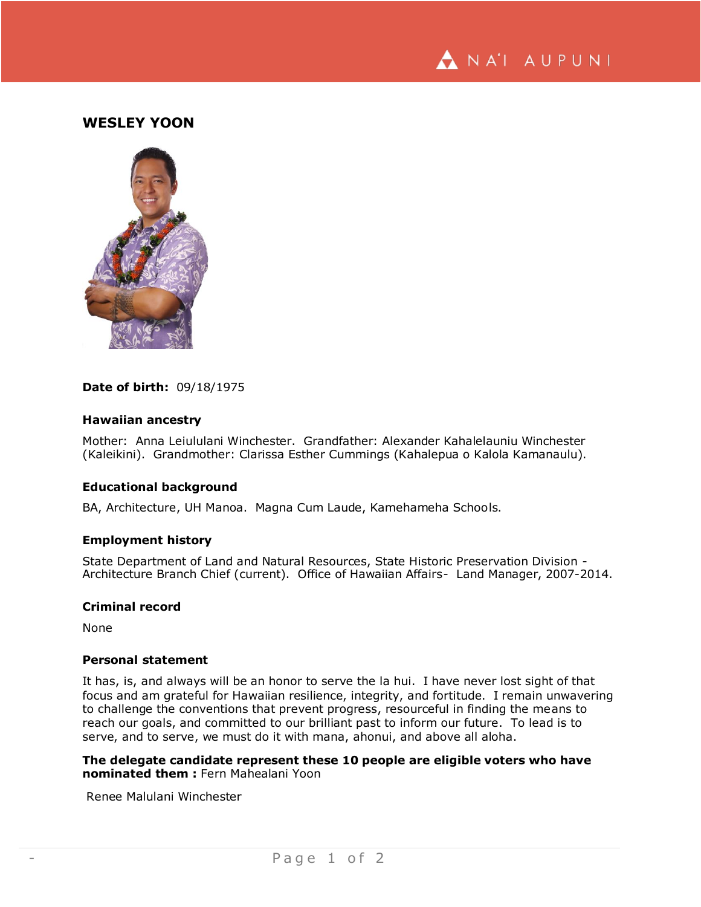

# **WESLEY YOON**



### **Date of birth:** 09/18/1975

### **Hawaiian ancestry**

Mother: Anna Leiululani Winchester. Grandfather: Alexander Kahalelauniu Winchester (Kaleikini). Grandmother: Clarissa Esther Cummings (Kahalepua o Kalola Kamanaulu).

### **Educational background**

BA, Architecture, UH Manoa. Magna Cum Laude, Kamehameha Schools.

#### **Employment history**

State Department of Land and Natural Resources, State Historic Preservation Division - Architecture Branch Chief (current). Office of Hawaiian Affairs- Land Manager, 2007-2014.

### **Criminal record**

None

## **Personal statement**

It has, is, and always will be an honor to serve the la hui. I have never lost sight of that focus and am grateful for Hawaiian resilience, integrity, and fortitude. I remain unwavering to challenge the conventions that prevent progress, resourceful in finding the means to reach our goals, and committed to our brilliant past to inform our future. To lead is to serve, and to serve, we must do it with mana, ahonui, and above all aloha.

**The delegate candidate represent these 10 people are eligible voters who have nominated them :** Fern Mahealani Yoon

Renee Malulani Winchester